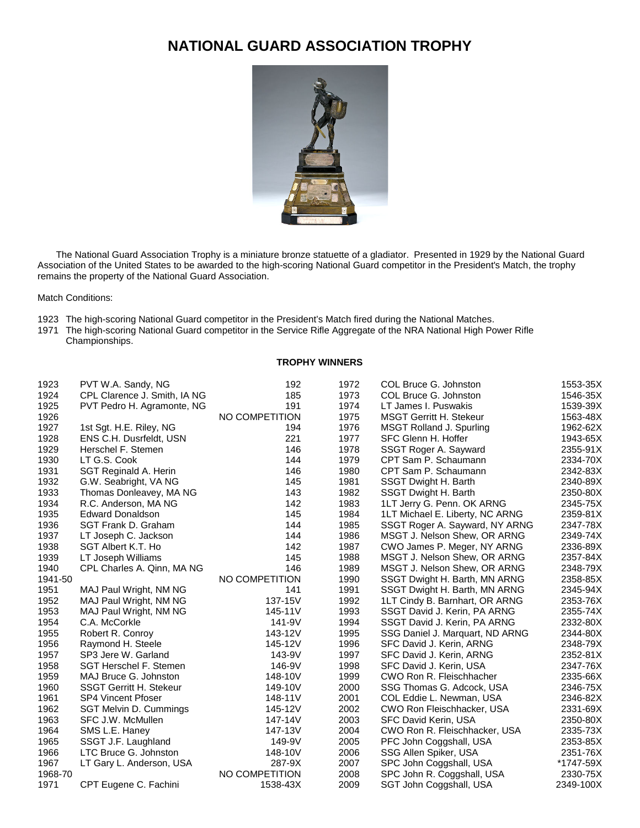## **NATIONAL GUARD ASSOCIATION TROPHY**



 The National Guard Association Trophy is a miniature bronze statuette of a gladiator. Presented in 1929 by the National Guard Association of the United States to be awarded to the high-scoring National Guard competitor in the President's Match, the trophy remains the property of the National Guard Association.

Match Conditions:

- The high-scoring National Guard competitor in the President's Match fired during the National Matches.
- The high-scoring National Guard competitor in the Service Rifle Aggregate of the NRA National High Power Rifle Championships.

## **TROPHY WINNERS**

| 1923    | PVT W.A. Sandy, NG             | 192            | 1972 | COL Bruce G. Johnston             | 1553-35X  |
|---------|--------------------------------|----------------|------|-----------------------------------|-----------|
| 1924    | CPL Clarence J. Smith, IA NG   | 185            | 1973 | COL Bruce G. Johnston             | 1546-35X  |
| 1925    | PVT Pedro H. Agramonte, NG     | 191            | 1974 | LT James I. Puswakis              | 1539-39X  |
| 1926    |                                | NO COMPETITION | 1975 | <b>MSGT Gerritt H. Stekeur</b>    | 1563-48X  |
| 1927    | 1st Sgt. H.E. Riley, NG        | 194            | 1976 | <b>MSGT Rolland J. Spurling</b>   | 1962-62X  |
| 1928    | ENS C.H. Dusrfeldt, USN        | 221            | 1977 | SFC Glenn H. Hoffer               | 1943-65X  |
| 1929    | Herschel F. Stemen             | 146            | 1978 | SSGT Roger A. Sayward             | 2355-91X  |
| 1930    | LT G.S. Cook                   | 144            | 1979 | CPT Sam P. Schaumann              | 2334-70X  |
| 1931    | SGT Reginald A. Herin          | 146            | 1980 | CPT Sam P. Schaumann              | 2342-83X  |
| 1932    | G.W. Seabright, VA NG          | 145            | 1981 | SSGT Dwight H. Barth              | 2340-89X  |
| 1933    | Thomas Donleavey, MA NG        | 143            | 1982 | SSGT Dwight H. Barth              | 2350-80X  |
| 1934    | R.C. Anderson, MA NG           | 142            | 1983 | 1LT Jerry G. Penn. OK ARNG        | 2345-75X  |
| 1935    | <b>Edward Donaldson</b>        | 145            | 1984 | 1LT Michael E. Liberty, NC ARNG   | 2359-81X  |
| 1936    | SGT Frank D. Graham            | 144            | 1985 | SSGT Roger A. Sayward, NY ARNG    | 2347-78X  |
| 1937    | LT Joseph C. Jackson           | 144            | 1986 | MSGT J. Nelson Shew, OR ARNG      | 2349-74X  |
| 1938    | SGT Albert K.T. Ho             | 142            | 1987 | CWO James P. Meger, NY ARNG       | 2336-89X  |
| 1939    | LT Joseph Williams             | 145            | 1988 | MSGT J. Nelson Shew, OR ARNG      | 2357-84X  |
| 1940    | CPL Charles A. Qinn, MA NG     | 146            | 1989 | MSGT J. Nelson Shew, OR ARNG      | 2348-79X  |
| 1941-50 |                                | NO COMPETITION | 1990 | SSGT Dwight H. Barth, MN ARNG     | 2358-85X  |
| 1951    | MAJ Paul Wright, NM NG         | 141            | 1991 | SSGT Dwight H. Barth, MN ARNG     | 2345-94X  |
| 1952    | MAJ Paul Wright, NM NG         | 137-15V        | 1992 | 1LT Cindy B. Barnhart, OR ARNG    | 2353-76X  |
| 1953    | MAJ Paul Wright, NM NG         | 145-11V        | 1993 | SSGT David J. Kerin, PA ARNG      | 2355-74X  |
| 1954    | C.A. McCorkle                  | 141-9V         | 1994 | SSGT David J. Kerin, PA ARNG      | 2332-80X  |
| 1955    | Robert R. Conroy               | 143-12V        | 1995 | SSG Daniel J. Marquart, ND ARNG   | 2344-80X  |
| 1956    | Raymond H. Steele              | 145-12V        | 1996 | SFC David J. Kerin, ARNG          | 2348-79X  |
| 1957    | SP3 Jere W. Garland            | 143-9V         | 1997 | SFC David J. Kerin, ARNG          | 2352-81X  |
| 1958    | SGT Herschel F. Stemen         | 146-9V         | 1998 | SFC David J. Kerin, USA           | 2347-76X  |
| 1959    | MAJ Bruce G. Johnston          | 148-10V        | 1999 | CWO Ron R. Fleischhacher          | 2335-66X  |
| 1960    | <b>SSGT Gerritt H. Stekeur</b> | 149-10V        | 2000 | SSG Thomas G. Adcock, USA         | 2346-75X  |
| 1961    | <b>SP4 Vincent Pfoser</b>      | 148-11V        | 2001 | COL Eddie L. Newman, USA          | 2346-82X  |
| 1962    | SGT Melvin D. Cummings         | 145-12V        | 2002 | <b>CWO Ron Fleischhacker, USA</b> | 2331-69X  |
| 1963    | SFC J.W. McMullen              | 147-14V        | 2003 | SFC David Kerin, USA              | 2350-80X  |
| 1964    | SMS L.E. Haney                 | 147-13V        | 2004 | CWO Ron R. Fleischhacker, USA     | 2335-73X  |
| 1965    | SSGT J.F. Laughland            | 149-9V         | 2005 | PFC John Coggshall, USA           | 2353-85X  |
| 1966    | LTC Bruce G. Johnston          | 148-10V        | 2006 | SSG Allen Spiker, USA             | 2351-76X  |
| 1967    | LT Gary L. Anderson, USA       | 287-9X         | 2007 | SPC John Coggshall, USA           | *1747-59X |
| 1968-70 |                                | NO COMPETITION | 2008 | SPC John R. Coggshall, USA        | 2330-75X  |
| 1971    | CPT Eugene C. Fachini          | 1538-43X       | 2009 | SGT John Coggshall, USA           | 2349-100X |